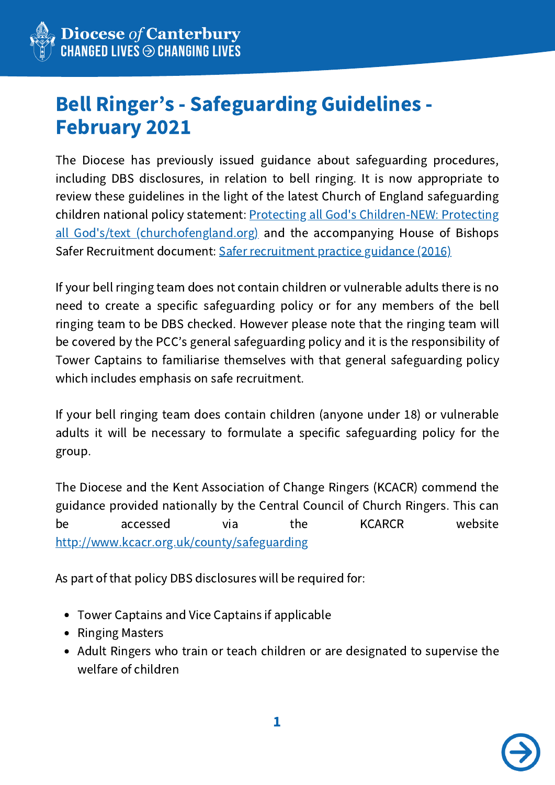

## Bell Ringer's - Safeguarding Guidelines - February 2021

The Diocese has previously issued guidance about safeguarding procedures, including DBS disclosures, in relation to bell ringing. It is now appropriate to review these guidelines in the light of the latest Church of England safeguarding children national policy statement: Protecting all God's Children-NEW: Protecting all God's/text [\(churchofengland.org\)](https://www.churchofengland.org/sites/default/files/2017-11/Protecting%20All%20God%27s%20Children%204th%20edition.pdf) and the accompanying House of Bishops Safer Recruitment document: Safer [recruitment](https://www.churchofengland.org/media/3470) practice guidance (2016)

If your bell ringing team does not contain children or vulnerable adults there is no need to create a specific safeguarding policy or for any members of the bell ringing team to be DBS checked. However please note that the ringing team will be covered by the PCC's general safeguarding policy and it is the responsibility of Tower Captains to familiarise themselves with that general safeguarding policy which includes emphasis on safe recruitment.

If your bell ringing team does contain children (anyone under 18) or vulnerable adults it will be necessary to formulate a specific safeguarding policy for the group.

The Diocese and the Kent Association of Change Ringers (KCACR) commend the guidance provided nationally by the Central Council of Church Ringers. This can be accessed via the KCARCR website <http://www.kcacr.org.uk/county/safeguarding>

As part of that policy DBS disclosures will be required for:

- Tower Captains and Vice Captains if applicable
- Ringing Masters
- Adult Ringers who train or teach children or are designated to supervise the welfare of children

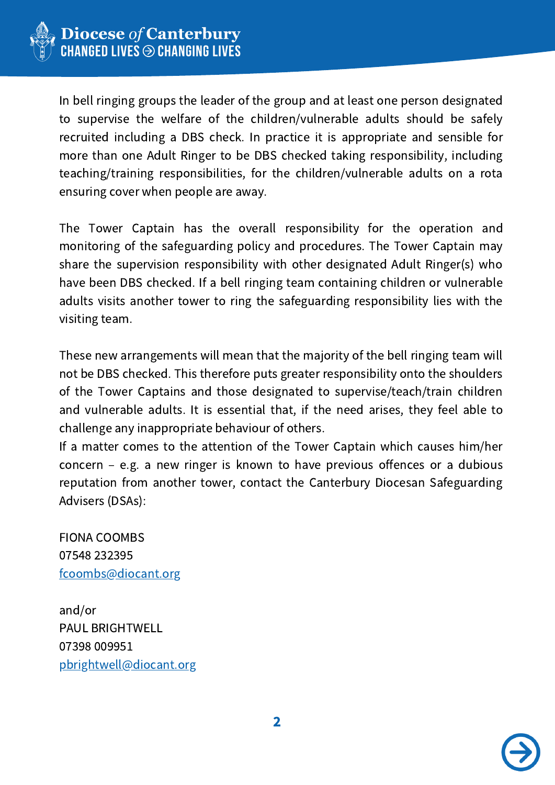

In bell ringing groups the leader of the group and at least one person designated to supervise the welfare of the children/vulnerable adults should be safely recruited including a DBS check. In practice it is appropriate and sensible for more than one Adult Ringer to be DBS checked taking responsibility, including teaching/training responsibilities, for the children/vulnerable adults on a rota ensuring cover when people are away.

The Tower Captain has the overall responsibility for the operation and monitoring of the safeguarding policy and procedures. The Tower Captain may share the supervision responsibility with other designated Adult Ringer(s) who have been DBS checked. If a bell ringing team containing children or vulnerable adults visits another tower to ring the safeguarding responsibility lies with the visiting team.

These new arrangements will mean that the majority of the bell ringing team will not be DBS checked. This therefore puts greater responsibility onto the shoulders of the Tower Captains and those designated to supervise/teach/train children and vulnerable adults. It is essential that, if the need arises, they feel able to challenge any inappropriate behaviour of others.

If a matter comes to the attention of the Tower Captain which causes him/her concern – e.g. a new ringer is known to have previous offences or a dubious reputation from another tower, contact the Canterbury Diocesan Safeguarding Advisers (DSAs):

FIONA COOMBS 07548 232395 [fcoombs@diocant.org](mailto:fcoombs@diocant.org)

and/or PAUL BRIGHTWELL 07398 009951 [pbrightwell@diocant.org](mailto:pbrightwell@diocant.org)